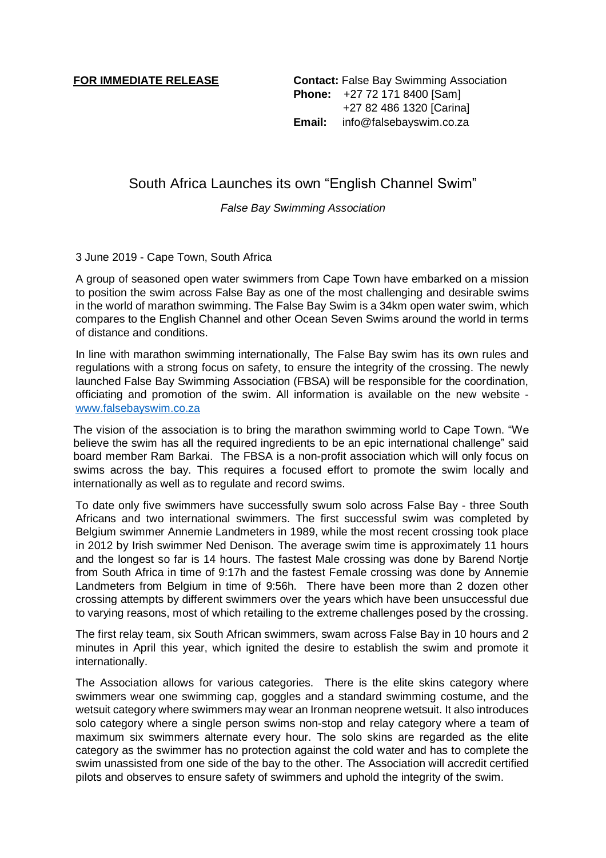**FOR IMMEDIATE RELEASE Contact:** False Bay Swimming Association **Phone:** +27 72 171 8400 [Sam] +27 82 486 1320 [Carina] **Email:** info@falsebayswim.co.za

South Africa Launches its own "English Channel Swim"

*False Bay Swimming Association*

## 3 June 2019 - Cape Town, South Africa

A group of seasoned open water swimmers from Cape Town have embarked on a mission to position the swim across False Bay as one of the most challenging and desirable swims in the world of marathon swimming. The False Bay Swim is a 34km open water swim, which compares to the English Channel and other Ocean Seven Swims around the world in terms of distance and conditions.

In line with marathon swimming internationally, The False Bay swim has its own rules and regulations with a strong focus on safety, to ensure the integrity of the crossing. The newly launched False Bay Swimming Association (FBSA) will be responsible for the coordination, officiating and promotion of the swim. All information is available on the new website [www.falsebayswim.co.za](http://www.falsebayswim.co.za/)

The vision of the association is to bring the marathon swimming world to Cape Town. "We believe the swim has all the required ingredients to be an epic international challenge" said board member Ram Barkai. The FBSA is a non-profit association which will only focus on swims across the bay. This requires a focused effort to promote the swim locally and internationally as well as to regulate and record swims.

To date only five swimmers have successfully swum solo across False Bay - three South Africans and two international swimmers. The first successful swim was completed by Belgium swimmer Annemie Landmeters in 1989, while the most recent crossing took place in 2012 by Irish swimmer Ned Denison. The average swim time is approximately 11 hours and the longest so far is 14 hours. The fastest Male crossing was done by Barend Nortje from South Africa in time of 9:17h and the fastest Female crossing was done by Annemie Landmeters from Belgium in time of 9:56h. There have been more than 2 dozen other crossing attempts by different swimmers over the years which have been unsuccessful due to varying reasons, most of which retailing to the extreme challenges posed by the crossing.

The first relay team, six South African swimmers, swam across False Bay in 10 hours and 2 minutes in April this year, which ignited the desire to establish the swim and promote it internationally.

The Association allows for various categories. There is the elite skins category where swimmers wear one swimming cap, goggles and a standard swimming costume, and the wetsuit category where swimmers may wear an Ironman neoprene wetsuit. It also introduces solo category where a single person swims non-stop and relay category where a team of maximum six swimmers alternate every hour. The solo skins are regarded as the elite category as the swimmer has no protection against the cold water and has to complete the swim unassisted from one side of the bay to the other. The Association will accredit certified pilots and observes to ensure safety of swimmers and uphold the integrity of the swim.